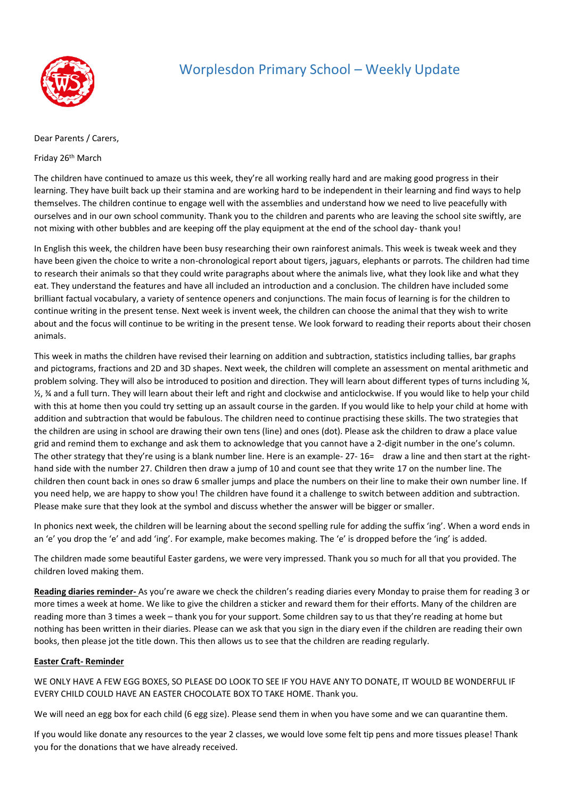

## Worplesdon Primary School – Weekly Update

## Dear Parents / Carers,

Friday 26th March

The children have continued to amaze us this week, they're all working really hard and are making good progress in their learning. They have built back up their stamina and are working hard to be independent in their learning and find ways to help themselves. The children continue to engage well with the assemblies and understand how we need to live peacefully with ourselves and in our own school community. Thank you to the children and parents who are leaving the school site swiftly, are not mixing with other bubbles and are keeping off the play equipment at the end of the school day- thank you!

In English this week, the children have been busy researching their own rainforest animals. This week is tweak week and they have been given the choice to write a non-chronological report about tigers, jaguars, elephants or parrots. The children had time to research their animals so that they could write paragraphs about where the animals live, what they look like and what they eat. They understand the features and have all included an introduction and a conclusion. The children have included some brilliant factual vocabulary, a variety of sentence openers and conjunctions. The main focus of learning is for the children to continue writing in the present tense. Next week is invent week, the children can choose the animal that they wish to write about and the focus will continue to be writing in the present tense. We look forward to reading their reports about their chosen animals.

This week in maths the children have revised their learning on addition and subtraction, statistics including tallies, bar graphs and pictograms, fractions and 2D and 3D shapes. Next week, the children will complete an assessment on mental arithmetic and problem solving. They will also be introduced to position and direction. They will learn about different types of turns including  $\frac{1}{4}$ , ½, ¾ and a full turn. They will learn about their left and right and clockwise and anticlockwise. If you would like to help your child with this at home then you could try setting up an assault course in the garden. If you would like to help your child at home with addition and subtraction that would be fabulous. The children need to continue practising these skills. The two strategies that the children are using in school are drawing their own tens (line) and ones (dot). Please ask the children to draw a place value grid and remind them to exchange and ask them to acknowledge that you cannot have a 2-digit number in the one's column. The other strategy that they're using is a blank number line. Here is an example- 27- 16= draw a line and then start at the righthand side with the number 27. Children then draw a jump of 10 and count see that they write 17 on the number line. The children then count back in ones so draw 6 smaller jumps and place the numbers on their line to make their own number line. If you need help, we are happy to show you! The children have found it a challenge to switch between addition and subtraction. Please make sure that they look at the symbol and discuss whether the answer will be bigger or smaller.

In phonics next week, the children will be learning about the second spelling rule for adding the suffix 'ing'. When a word ends in an 'e' you drop the 'e' and add 'ing'. For example, make becomes making. The 'e' is dropped before the 'ing' is added.

The children made some beautiful Easter gardens, we were very impressed. Thank you so much for all that you provided. The children loved making them.

**Reading diaries reminder-** As you're aware we check the children's reading diaries every Monday to praise them for reading 3 or more times a week at home. We like to give the children a sticker and reward them for their efforts. Many of the children are reading more than 3 times a week – thank you for your support. Some children say to us that they're reading at home but nothing has been written in their diaries. Please can we ask that you sign in the diary even if the children are reading their own books, then please jot the title down. This then allows us to see that the children are reading regularly.

## **Easter Craft- Reminder**

WE ONLY HAVE A FEW EGG BOXES, SO PLEASE DO LOOK TO SEE IF YOU HAVE ANY TO DONATE, IT WOULD BE WONDERFUL IF EVERY CHILD COULD HAVE AN EASTER CHOCOLATE BOX TO TAKE HOME. Thank you.

We will need an egg box for each child (6 egg size). Please send them in when you have some and we can quarantine them.

If you would like donate any resources to the year 2 classes, we would love some felt tip pens and more tissues please! Thank you for the donations that we have already received.